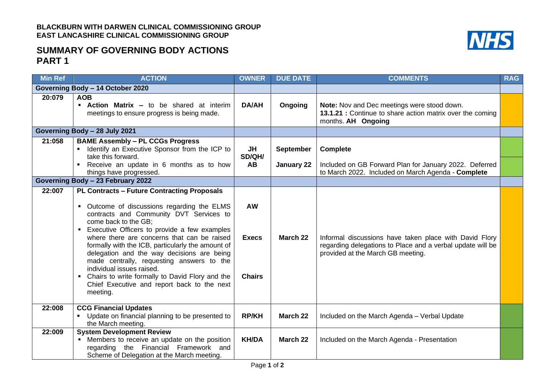## **SUMMARY OF GOVERNING BODY ACTIONS PART 1**

|--|

| <b>Min Ref</b>                    | <b>ACTION</b>                                                                                                                                                                                                                                                                                                                                                                                                                                                                                                                                                        | <b>OWNER</b>                               | <b>DUE DATE</b>  | <b>COMMENTS</b>                                                                                                                                           | <b>RAG</b> |
|-----------------------------------|----------------------------------------------------------------------------------------------------------------------------------------------------------------------------------------------------------------------------------------------------------------------------------------------------------------------------------------------------------------------------------------------------------------------------------------------------------------------------------------------------------------------------------------------------------------------|--------------------------------------------|------------------|-----------------------------------------------------------------------------------------------------------------------------------------------------------|------------|
| Governing Body - 14 October 2020  |                                                                                                                                                                                                                                                                                                                                                                                                                                                                                                                                                                      |                                            |                  |                                                                                                                                                           |            |
| 20:079                            | <b>AOB</b><br><b>Action Matrix - to be shared at interim</b><br>meetings to ensure progress is being made.                                                                                                                                                                                                                                                                                                                                                                                                                                                           | <b>DA/AH</b>                               | Ongoing          | Note: Nov and Dec meetings were stood down.<br>13.1.21 : Continue to share action matrix over the coming<br>months. AH Ongoing                            |            |
|                                   | Governing Body - 28 July 2021                                                                                                                                                                                                                                                                                                                                                                                                                                                                                                                                        |                                            |                  |                                                                                                                                                           |            |
| 21:058                            | <b>BAME Assembly - PL CCGs Progress</b><br>• Identify an Executive Sponsor from the ICP to<br>take this forward.                                                                                                                                                                                                                                                                                                                                                                                                                                                     | <b>JH</b><br>SD/QH/<br><b>AB</b>           | <b>September</b> | <b>Complete</b>                                                                                                                                           |            |
|                                   | Receive an update in 6 months as to how<br>things have progressed.                                                                                                                                                                                                                                                                                                                                                                                                                                                                                                   |                                            | January 22       | Included on GB Forward Plan for January 2022. Deferred<br>to March 2022. Included on March Agenda - Complete                                              |            |
| Governing Body - 23 February 2022 |                                                                                                                                                                                                                                                                                                                                                                                                                                                                                                                                                                      |                                            |                  |                                                                                                                                                           |            |
| 22:007                            | <b>PL Contracts - Future Contracting Proposals</b><br>• Outcome of discussions regarding the ELMS<br>contracts and Community DVT Services to<br>come back to the GB;<br>Executive Officers to provide a few examples<br>where there are concerns that can be raised<br>formally with the ICB, particularly the amount of<br>delegation and the way decisions are being<br>made centrally, requesting answers to the<br>individual issues raised.<br>Chairs to write formally to David Flory and the<br>٠.<br>Chief Executive and report back to the next<br>meeting. | <b>AW</b><br><b>Execs</b><br><b>Chairs</b> | March 22         | Informal discussions have taken place with David Flory<br>regarding delegations to Place and a verbal update will be<br>provided at the March GB meeting. |            |
| 22:008                            | <b>CCG Financial Updates</b><br>• Update on financial planning to be presented to<br>the March meeting.                                                                                                                                                                                                                                                                                                                                                                                                                                                              | <b>RP/KH</b>                               | March 22         | Included on the March Agenda - Verbal Update                                                                                                              |            |
| 22:009                            | <b>System Development Review</b><br>• Members to receive an update on the position<br>regarding the Financial Framework and<br>Scheme of Delegation at the March meeting.                                                                                                                                                                                                                                                                                                                                                                                            | <b>KH/DA</b>                               | March 22         | Included on the March Agenda - Presentation                                                                                                               |            |